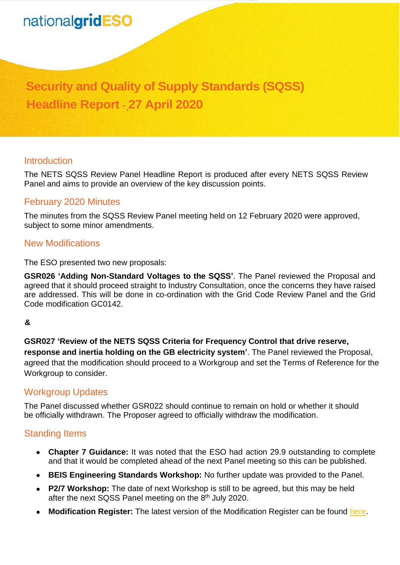# nationalgridESO

# **Security and Quality of Supply Standards (SQSS) Headline Report** – **27 April 2020**

#### **Introduction**

The NETS SQSS Review Panel Headline Report is produced after every NETS SQSS Review Panel and aims to provide an overview of the key discussion points.

#### February 2020 Minutes

The minutes from the SQSS Review Panel meeting held on 12 February 2020 were approved, subject to some minor amendments.

#### New Modifications

The ESO presented two new proposals:

**GSR026 'Adding Non-Standard Voltages to the SQSS'**. The Panel reviewed the Proposal and agreed that it should proceed straight to Industry Consultation, once the concerns they have raised are addressed. This will be done in co-ordination with the Grid Code Review Panel and the Grid Code modification GC0142.

#### **&**

**GSR027 'Review of the NETS SQSS Criteria for Frequency Control that drive reserve, response and inertia holding on the GB electricity system'**. The Panel reviewed the Proposal, agreed that the modification should proceed to a Workgroup and set the Terms of Reference for the Workgroup to consider.

#### Workgroup Updates

The Panel discussed whether GSR022 should continue to remain on hold or whether it should be officially withdrawn. The Proposer agreed to officially withdraw the modification.

## Standing Items

- **Chapter 7 Guidance:** It was noted that the ESO had action 29.9 outstanding to complete and that it would be completed ahead of the next Panel meeting so this can be published.
- **BEIS Engineering Standards Workshop:** No further update was provided to the Panel.
- **P2/7 Workshop:** The date of next Workshop is still to be agreed, but this may be held after the next SQSS Panel meeting on the 8<sup>th</sup> July 2020.
- **Modification Register:** The latest version of the Modification Register can be found [here.](https://www.nationalgrideso.com/industry-information/codes/security-and-quality-supply-standards-old/meetings/sqss-panel-meeting)